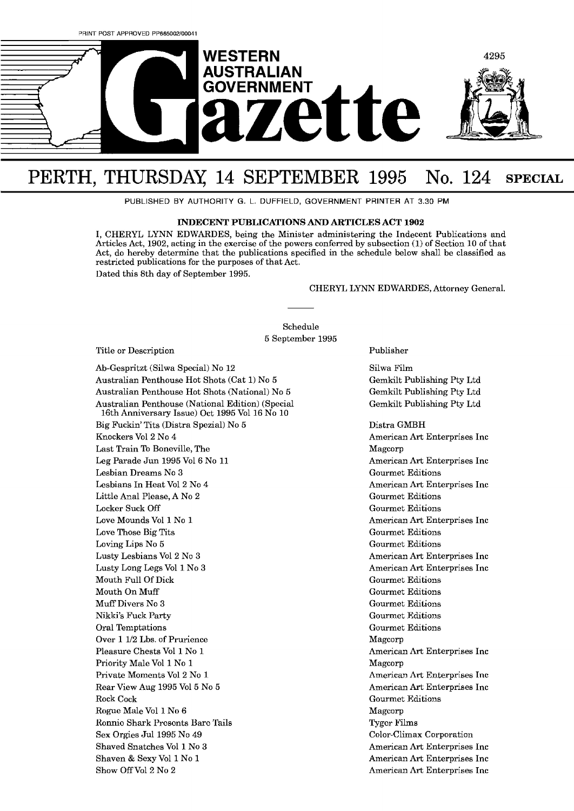

# PERTH, THURSDAY, 14 SEPTEMBER 1995 No. 124 SPECIAL

PUBLISHED BY AUTHORITY G. L. DUFFIELD, GOVERNMENT PRINTER AT 3.30 PM

### **INDECENT PUBLICATIONS AND ARTICLES ACT 1902**

I, CHERYL LYNN EDWARDES, being the Minister administering the Indecent Publications and Articles Act, 1902, acting in the exercise of the powers conferred by subsection (l) of Section 10 of that Act, do hereby determine that the publications specified in the schedule below shall be classified as restricted publications for the purposes of that Act. Dated this 8th day of September 1995.

### CHERYL LYNN EDWARDES, Attorney General.

Schedule **5** September 1995

Title or Description

Ab-Gespritzt (Silwa Special) No 12 Australian Penthouse Hot Shots (Cat 1) No **<sup>5</sup>** Australian Penthouse Hot Shots (National) No 5 Australian Penthouse (National Edition) (Special 16th Anniversary Issue) Oct 1995 Vol 16 No 10 Big Fuckin' Tits (Distra Spezial) No 5 Knockers V012 No 4 Last Train To Boneville, The Leg Parade Jun 1995 V016 No 11 Lesbian Dreams No **3**  Lesbians In Heat V012 No 4 Little Anal Please, A No 2 Locker Suck Off Love Mounds V011 No 1 Love Those Big Tits Loving Lips No 5 Lusty Lesbians V012 No **3**  Lusty Long Legs V011 No **3**  Mouth Full Of Dick Mouth On Muff Muff Divers No **3**  Nikkj's Fuck Party Oral Temptations Over 1 1/2 Lbs. of Prurience Pleasure Chests Vol 1 No 1 Priority Male Vol 1 No 1 Private Moments V012 No 1 Rear View Aug 1995 V015 No 5 Rock Cock Rogue Male V011 No 6 Ronnic Shark Prosents Barc Tails Sex Orgies Jul 1995 No 49 Shaved Snatches V011 No **3**  Shaven & Sexy Vol 1 No 1 Show Off Vol 2 No 2

Publisher

Silwa Film Gemkilt Publishing Pty Ltd Gemkilt Publishing Pty Ltd Gemkilt Publishing Pty Ltd

Distra GMBH American Art Enterprises Inc Magcorp American Art Enterprises Inc Gourmet Editions American Art Enterprises Inc Gourmet Editions Gourmet Editions American Art Enterprises Inc Gourmet Editions Gourmet Editions American Art Enterprises Inc American Art Enterprises Inc Gourmet Editions Gourmet Editions Gourmet Editions Gourmet Editions Gourmet Editions Magcorp American Art Enterprises Inc Magcorp American Art Enterprises Inc American Art; Enterprises Inc Gourmet Editiom Magcorp Tygcr Films Color-Climax Corporation American Art Enterprises Inc American **Art** Enterprises Inc American Art Enterprises Inc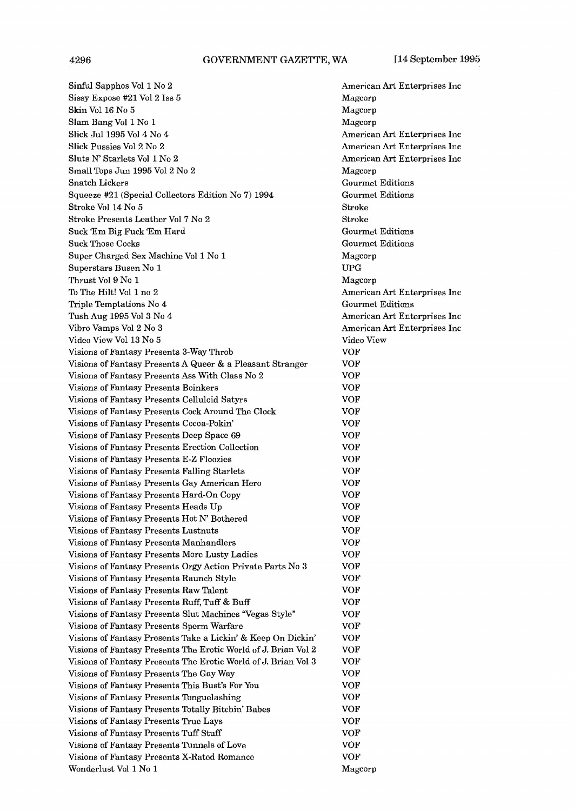Sinful Sapphos V011 No **2**  Sissy Expose #21 V012 lss **5**  Skin Vol 16 No 5 Slam Bang V011 No 1 Slick Jul 1995 Vol 4 No 4 Slick Pussies V012 No 2 Sluts **N'** Starlets V01 1 No 2 Small Tops Jun 1995 V012 No 2 Snatch Lickers Squeeze #21 (Special Collectors Edition No 7) 1994 Stroke Vol 14 No 5 Stroke Presents Leather V017 No 2 Suck 'Em Big Fuck 'Em Hard Suck Those Cocks Super Charged Sex Machine V011 No 1 Superstars Rusen No 1 Thrust V019 No 1 To The Hilt! Vol 1 no 2 Triple Temptations No 4 Tush Aug 1995 V013 No 4 Vibro Vamps V012 No 3 Video View Vol 13 No 5 Visions of Fantasy Presents 3-Way Throb Visions of Fantasy Presents A Queer & a Pleasant Stranger Visions of Fantasy Presents Ass With Class No 2 Visions of Fantasy Presents Boinkers Visions of Fantasy Presents Celluloid Satyrs Visions of Fantasy Presents Cock Around The Clock Visions of Fantasy Presents Cocoa-Pokin' Visions of Fantasy Presents Deep Space 69 Visions of Fantasy Presents Erection Collection Visions of Fantasy Presents E-Z Floozies Visions of Fantasy Presents Falling Starlets Visions of Fantasy Presents Gay American Hero Visions of Fantasy Presents Hard-On Copy Visions of Fantasy Presents Heads Up Visions of Fantasy Presents Hot N' Bothered Visions of Fantasy Presents Lustnuts Visions of Fantasy Presents Manhandlers Visions of Fantasy Presents More Lusty Ladies Visions of Fantasy Presents Orgy Action Private Parts No **3**  Visions of Fantasy Presents Raunch Style Visions of Fantasy Presents Raw Talent Visions of Fantasy Presents Ruff, Tuff & Buff Visions of Fantasy Presents Slut Machines "Vegas Style" Visions of Fantasy Presents Sperm Warfare Visions of Fantasy Presents Take a Lickin' & Keep On Dickin' Visions of Fantasy Presents The Erotic World of J. Brian Vol 2 Visions of Fantasy Presents The Erotic World of J. Brian Vol 3 Visions of Fantasy Presents The Gay Way Visions of Fantasy Presents This Bust's For You Visions of Fantasy Presents Tonguelashing Visjons of Fantasy Presents Totally Ritchin' Babes Visions of Fantasy Presents True Lays Visions of Fantasy Prcscnts Tuff Stuff Visions of Fantasy Presents Tunnels of Love Visions of Fantasy Presents X-Rated Romance Wonderlust Vol 1 No 1 Magcorp

American Art Enterprises Inc Magcorp Magcorp Magcorp American Art Enterprises Inc American Art Enterprises Inc American Art Enterprises Inc Magcorp Gourmet Editions Gourmet Editions Stroke Stroke Gourmet Editions Gourmet Editions Magcorp UPG Magcorp American Art Enterprises Inc Gourmet Editions American Art Enterprises Inc American Art Enterprises Inc Video View VOF VOF VOF VOF VOF VOF VOF VOF VOF VOF VOF VOF VOF VOF VOF VOF VOF VOF VOF VOF VOF VOF VOF VOF VOF VOF VOF VOF VOF VOF VOF VOF VOF VOF VOF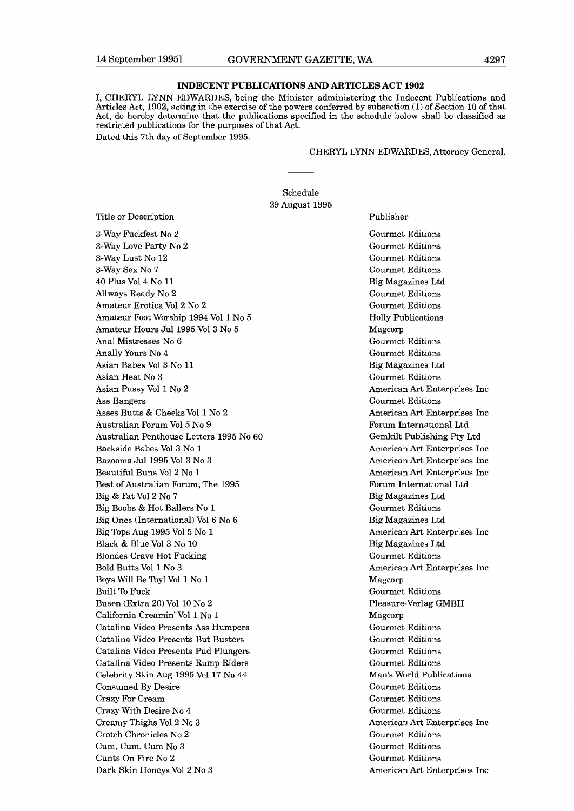# **INDECENT PUBLICATIONS AND ARTICLES ACT 1902**

I, CHERYI, LYNN EDWARDES, bcing thc Ministcr administcrjng thc Indcccnt Publications and Articles Act, 1902, acting in the exercise of the powers conferred by subsection (1) of Section 10 of that Act, do hcrcby dctcrminc that tho publications spccificd in tho schcdulc bclow shall bc classified as restricted publications for the purposes of that Act. Dated this 7th day of September 1995.

### CHERYL LYNN EDWARDES, Attorney General.

Publisher

Schedule 29 August 1995

Title or Description

3-Way Fuckfest No 2 3-Way Love Party No 2 3-Way Lust No 12 3-Way Sex No 7 40 Plus V014 No 11 Allways Ready No 2 Amateur Erotica V012 No 2 Amateur Foot Worship 1994 Vol 1 No 5 Amateur Hours Jul 1995 V013 No 5 Anal Mistresses No 6 Anally Yours No 4 Asian Babes V013 No 11 Asian Heat No 3 Asian Pussy Vol 1 No 2 Ass Bangers Asses Butts & Cheeks Vol 1 No 2 Australian Forum V015 No 9 Australian Penthouse Letters 1995 No 60 Backside Babes V013 No 1 Bazooms Jul1995 V013 No 3 Beautiful Buns V012 No 1 Best of Australian Forum, The 1995 Big & Fat V012 No 7 Big Boobs & Hot Ballers No 1 Big Ones (International) V016 No 6 Big Tops Aug 1995 V015 No 1 Black & Blue Vol 3 No l0 Blondes Crave Hot Fucking Bold Butts Vol 1 No 3 Boys Will Be Toy! V011 No 1 Built To Fuck Busen (Extra 20) Vol 10 No **2**  California Creamin' Vol 1 No 1 Catalina Video Presents Ass Humpers Catdina Video Presents But Busters Catalina Video Presents Pud Plungers Catalina Video Presents Rump Riders Celebrity Skin Aug 1995 Vol 17 No 44 Consumed By Desire Crazy For Cream Crazy With Desire No 4 Creamy Thighs V012 No 3 Crotch Chronicles No **2**  Cum, Cum, Cum No 3 Cunts On Fire No 2 Dark Skin IIoncys V012 No **3** 

Gourmet Editions Gourmet Editions Gourmet Editions Gourmet Editions Big Magazines Ltd Gourmet Editions Gourmet Editions Holly Publications Magcorp Gourmet Editions Gourmet Editions Big Magazines Ltd Gourmet Editions American Art Enterprises Inc Gourmet Editions American Art Enterprises Inc Forum International Ltd Gemkilt Publishing Pty Ltd American Art Enterprises Inc American Art Enterprises Inc American Art Enterprises Inc Forum International Ltd Big Magazines Ltd Gourmet Editions Big Magazines Ltd American Art Enterprises Inc Rig Magazines I,td Gourmet Editions American Art Enterprises Inc Magcorp Gourmct Editions Pleasure-Verlag GMBH Magcorp Gourmet Editions Gourmet Editions Gourmet Editions Gourmet Editions Man's World Publications Gourmet Editions Gourmet Editions Gourmet Editions American Art Enterprises Inc Gourmet Editions Gourmet Editions Gourmet Editions American Art Entcrpriscs Inc